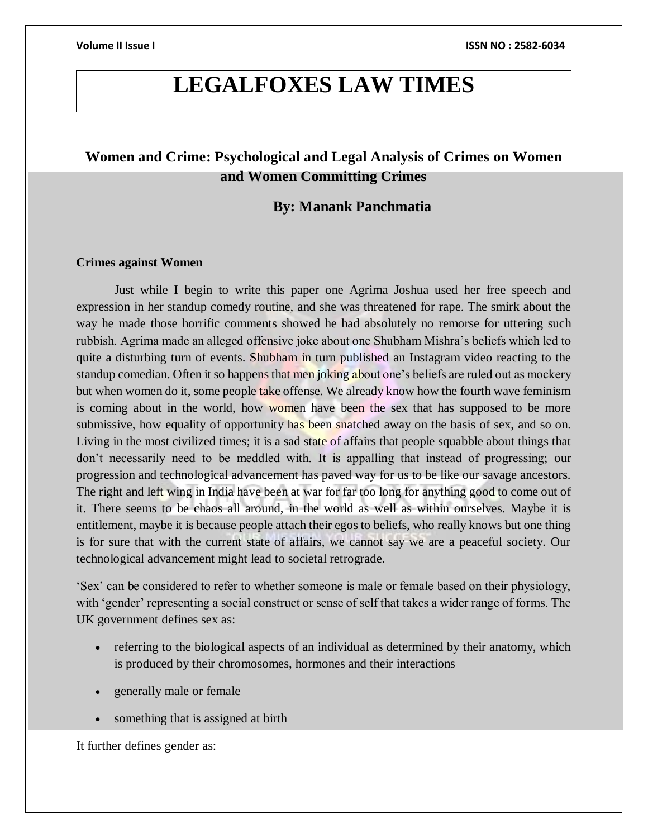## **LEGALFOXES LAW TIMES**

### **Women and Crime: Psychological and Legal Analysis of Crimes on Women and Women Committing Crimes**

### **By: Manank Panchmatia**

### **Crimes against Women**

Just while I begin to write this paper one Agrima Joshua used her free speech and expression in her standup comedy routine, and she was threatened for rape. The smirk about the way he made those horrific comments showed he had absolutely no remorse for uttering such rubbish. Agrima made an alleged offensive joke about one Shubham Mishra's beliefs which led to quite a disturbing turn of events. Shubham in turn published an Instagram video reacting to the standup comedian. Often it so happens that men joking about one's beliefs are ruled out as mockery but when women do it, some people take offense. We already know how the fourth wave feminism is coming about in the world, how women have been the sex that has supposed to be more submissive, how equality of opportunity has been snatched away on the basis of sex, and so on. Living in the most civilized times; it is a sad state of affairs that people squabble about things that don't necessarily need to be meddled with. It is appalling that instead of progressing; our progression and technological advancement has paved way for us to be like our savage ancestors. The right and left wing in India have been at war for far too long for anything good to come out of it. There seems to be chaos all around, in the world as well as within ourselves. Maybe it is entitlement, maybe it is because people attach their egos to beliefs, who really knows but one thing is for sure that with the current state of affairs, we cannot say we are a peaceful society. Our technological advancement might lead to societal retrograde.

'Sex' can be considered to refer to whether someone is male or female based on their physiology, with 'gender' representing a social construct or sense of self that takes a wider range of forms. The UK government defines sex as:

- referring to the biological aspects of an individual as determined by their anatomy, which is produced by their chromosomes, hormones and their interactions
- generally male or female
- something that is assigned at birth

It further defines gender as: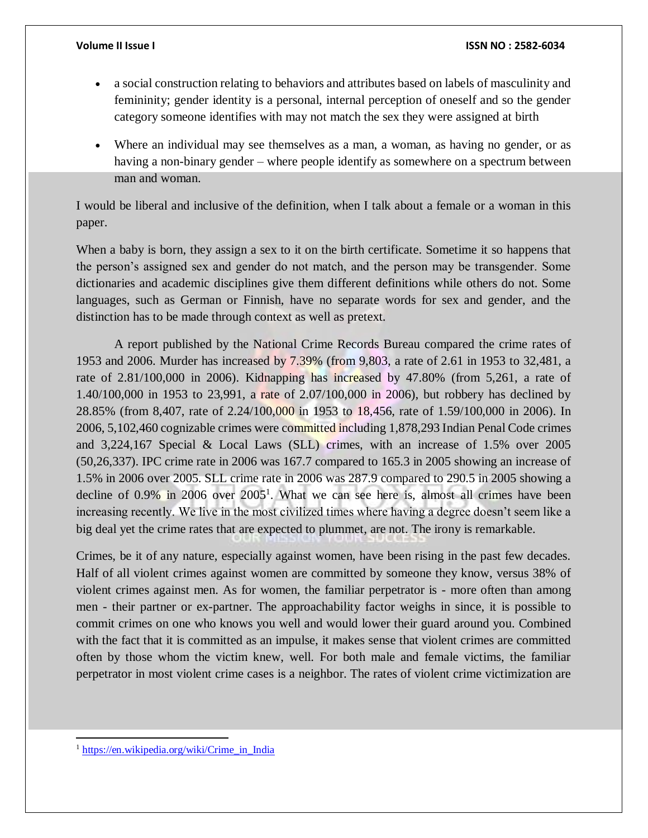- a social construction relating to behaviors and attributes based on labels of masculinity and femininity; gender identity is a personal, internal perception of oneself and so the gender category someone identifies with may not match the sex they were assigned at birth
- Where an individual may see themselves as a man, a woman, as having no gender, or as having a non-binary gender – where people identify as somewhere on a spectrum between man and woman.

I would be liberal and inclusive of the definition, when I talk about a female or a woman in this paper.

When a baby is born, they assign a sex to it on the birth certificate. Sometime it so happens that the person's assigned sex and gender do not match, and the person may be transgender. Some dictionaries and academic disciplines give them different definitions while others do not. Some languages, such as German or Finnish, have no separate words for sex and gender, and the distinction has to be made through context as well as pretext.

A report published by the National Crime Records Bureau compared the crime rates of 1953 and 2006. Murder has increased by 7.39% (from 9,803, a rate of 2.61 in 1953 to 32,481, a rate of 2.81/100,000 in 2006). Kidnapping has increased by 47.80% (from 5,261, a rate of 1.40/100,000 in 1953 to 23,991, a rate of 2.07/100,000 in 2006), but robbery has declined by 28.85% (from 8,407, rate of 2.24/100,000 in 1953 to 18,456, rate of 1.59/100,000 in 2006). In 2006, 5,102,460 cognizable crimes were committed including 1,878,293 Indian Penal Code crimes and 3,224,167 Special & Local Laws (SLL) crimes, with an increase of 1.5% over 2005 (50,26,337). IPC crime rate in 2006 was 167.7 compared to 165.3 in 2005 showing an increase of 1.5% in 2006 over 2005. SLL crime rate in 2006 was 287.9 compared to 290.5 in 2005 showing a decline of  $0.9\%$  in 2006 over  $2005<sup>1</sup>$ . What we can see here is, almost all crimes have been increasing recently. We live in the most civilized times where having a degree doesn't seem like a big deal yet the crime rates that are expected to plummet, are not. The irony is remarkable.

Crimes, be it of any nature, especially against women, have been rising in the past few decades. Half of all violent crimes against women are committed by someone they know, versus 38% of violent crimes against men. As for women, the familiar perpetrator is - more often than among men - their partner or ex-partner. The approachability factor weighs in since, it is possible to commit crimes on one who knows you well and would lower their guard around you. Combined with the fact that it is committed as an impulse, it makes sense that violent crimes are committed often by those whom the victim knew, well. For both male and female victims, the familiar perpetrator in most violent crime cases is a neighbor. The rates of violent crime victimization are

<sup>1</sup> [https://en.wikipedia.org/wiki/Crime\\_in\\_India](https://en.wikipedia.org/wiki/Crime_in_India)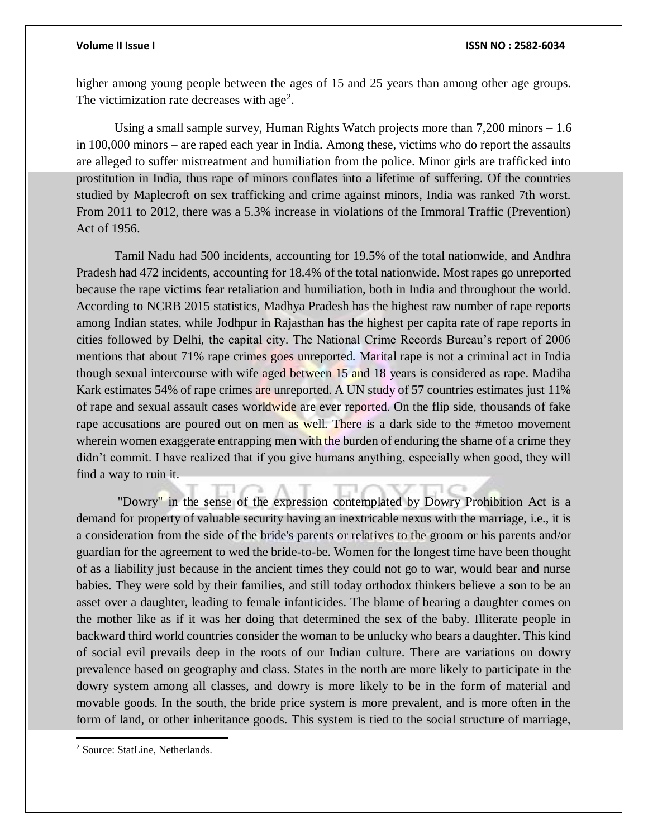higher among young people between the ages of 15 and 25 years than among other age groups. The victimization rate decreases with age<sup>2</sup>.

Using a small sample survey, Human Rights Watch projects more than 7,200 minors – 1.6 in 100,000 minors – are raped each year in India. Among these, victims who do report the assaults are alleged to suffer mistreatment and humiliation from the police. Minor girls are trafficked into prostitution in India, thus rape of minors conflates into a lifetime of suffering. Of the countries studied by Maplecroft on sex trafficking and crime against minors, India was ranked 7th worst. From 2011 to 2012, there was a 5.3% increase in violations of the Immoral Traffic (Prevention) Act of 1956.

Tamil Nadu had 500 incidents, accounting for 19.5% of the total nationwide, and Andhra Pradesh had 472 incidents, accounting for 18.4% of the total nationwide. Most rapes go unreported because the rape victims fear retaliation and humiliation, both in India and throughout the world. According to NCRB 2015 statistics, Madhya Pradesh has the highest raw number of rape reports among Indian states, while Jodhpur in Rajasthan has the highest per capita rate of rape reports in cities followed by Delhi, the capital city. The National Crime Records Bureau's report of 2006 mentions that about 71% rape crimes goes unreported. Marital rape is not a criminal act in India though sexual intercourse with wife aged between 15 and 18 years is considered as rape. Madiha Kark estimates 54% of rape crimes are unreported. A UN study of 57 countries estimates just 11% of rape and sexual assault cases worldwide are ever reported. On the flip side, thousands of fake rape accusations are poured out on men as well. There is a dark side to the #metoo movement wherein women exaggerate entrapping men with the burden of enduring the shame of a crime they didn't commit. I have realized that if you give humans anything, especially when good, they will find a way to ruin it.

"Dowry" in the sense of the expression contemplated by Dowry Prohibition Act is a demand for property of valuable security having an inextricable nexus with the marriage, i.e., it is a consideration from the side of the bride's parents or relatives to the groom or his parents and/or guardian for the agreement to wed the bride-to-be. Women for the longest time have been thought of as a liability just because in the ancient times they could not go to war, would bear and nurse babies. They were sold by their families, and still today orthodox thinkers believe a son to be an asset over a daughter, leading to female infanticides. The blame of bearing a daughter comes on the mother like as if it was her doing that determined the sex of the baby. Illiterate people in backward third world countries consider the woman to be unlucky who bears a daughter. This kind of social evil prevails deep in the roots of our Indian culture. There are variations on dowry prevalence based on geography and class. States in the north are more likely to participate in the dowry system among all classes, and dowry is more likely to be in the form of material and movable goods. In the south, the bride price system is more prevalent, and is more often in the form of land, or other inheritance goods. This system is tied to the social structure of marriage,

<sup>2</sup> Source: StatLine, Netherlands.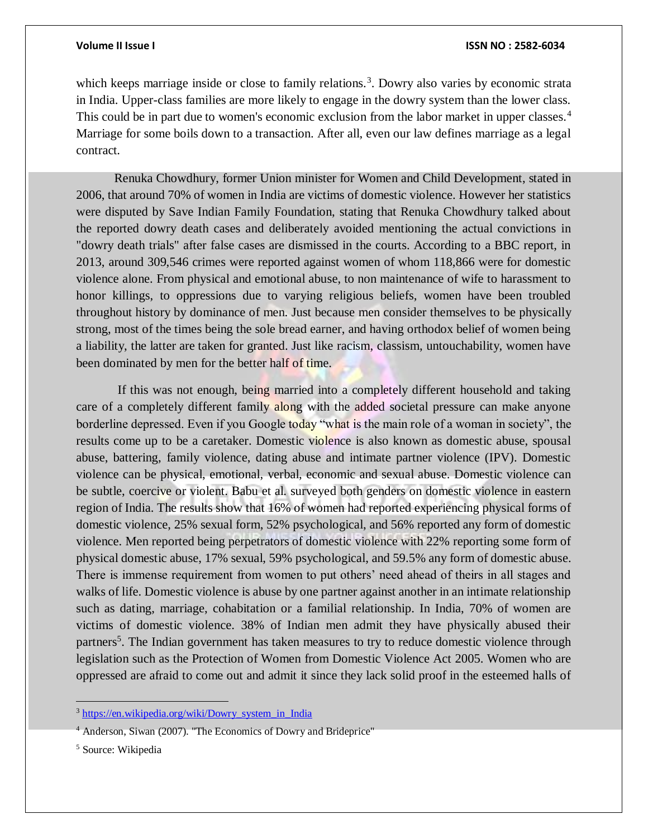which keeps marriage inside or close to family relations.<sup>3</sup>. Dowry also varies by economic strata in India. Upper-class families are more likely to engage in the dowry system than the lower class. This could be in part due to women's economic exclusion from the labor market in upper classes.<sup>4</sup> Marriage for some boils down to a transaction. After all, even our law defines marriage as a legal contract.

Renuka Chowdhury, former Union minister for Women and Child Development, stated in 2006, that around 70% of women in India are victims of domestic violence. However her statistics were disputed by Save Indian Family Foundation, stating that Renuka Chowdhury talked about the reported dowry death cases and deliberately avoided mentioning the actual convictions in "dowry death trials" after false cases are dismissed in the courts. According to a BBC report, in 2013, around 309,546 crimes were reported against women of whom 118,866 were for domestic violence alone. From physical and emotional abuse, to non maintenance of wife to harassment to honor killings, to oppressions due to varying religious beliefs, women have been troubled throughout history by dominance of men. Just because men consider themselves to be physically strong, most of the times being the sole bread earner, and having orthodox belief of women being a liability, the latter are taken for granted. Just like racism, classism, untouchability, women have been dominated by men for the better half of time.

If this was not enough, being married into a completely different household and taking care of a completely different family along with the added societal pressure can make anyone borderline depressed. Even if you Google today "what is the main role of a woman in society", the results come up to be a caretaker. Domestic violence is also known as domestic abuse, spousal abuse, battering, family violence, dating abuse and intimate partner violence (IPV). Domestic violence can be physical, emotional, verbal, economic and sexual abuse. Domestic violence can be subtle, coercive or violent. Babu et al. surveyed both genders on domestic violence in eastern region of India. The results show that 16% of women had reported experiencing physical forms of domestic violence, 25% sexual form, 52% psychological, and 56% reported any form of domestic violence. Men reported being perpetrators of domestic violence with 22% reporting some form of physical domestic abuse, 17% sexual, 59% psychological, and 59.5% any form of domestic abuse. There is immense requirement from women to put others' need ahead of theirs in all stages and walks of life. Domestic violence is abuse by one partner against another in an intimate relationship such as dating, marriage, cohabitation or a familial relationship. In India, 70% of women are victims of domestic violence. 38% of Indian men admit they have physically abused their partners<sup>5</sup>. The Indian government has taken measures to try to reduce domestic violence through legislation such as the Protection of Women from Domestic Violence Act 2005. Women who are oppressed are afraid to come out and admit it since they lack solid proof in the esteemed halls of

<sup>&</sup>lt;sup>3</sup> https://en.wikipedia.org/wiki/Dowry system in India

<sup>4</sup> Anderson, Siwan (2007). "The Economics of Dowry and Brideprice"

<sup>5</sup> Source: Wikipedia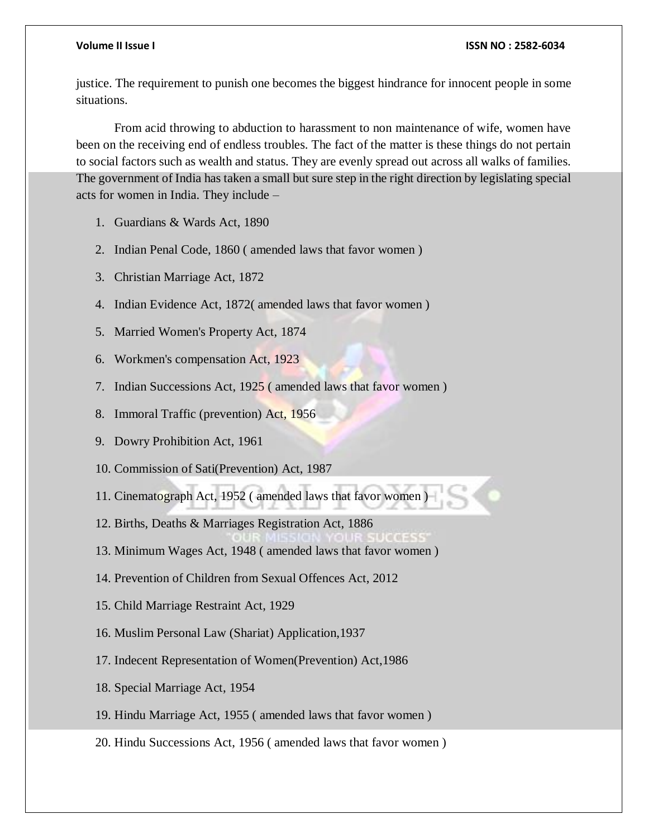justice. The requirement to punish one becomes the biggest hindrance for innocent people in some situations.

From acid throwing to abduction to harassment to non maintenance of wife, women have been on the receiving end of endless troubles. The fact of the matter is these things do not pertain to social factors such as wealth and status. They are evenly spread out across all walks of families. The government of India has taken a small but sure step in the right direction by legislating special acts for women in India. They include –

- 1. Guardians & Wards Act, 1890
- 2. Indian Penal Code, 1860 ( amended laws that favor women )
- 3. Christian Marriage Act, 1872
- 4. Indian Evidence Act, 1872( amended laws that favor women )
- 5. Married Women's Property Act, 1874
- 6. Workmen's compensation Act, 1923
- 7. Indian Successions Act, 1925 ( amended laws that favor women )
- 8. Immoral Traffic (prevention) Act, 1956
- 9. Dowry Prohibition Act, 1961
- 10. Commission of Sati(Prevention) Act, 1987
- 11. Cinematograph Act, 1952 ( amended laws that favor women )
- 12. Births, Deaths & Marriages Registration Act, 1886
- 13. Minimum Wages Act, 1948 ( amended laws that favor women )
- 14. Prevention of Children from Sexual Offences Act, 2012
- 15. Child Marriage Restraint Act, 1929
- 16. Muslim Personal Law (Shariat) Application,1937
- 17. Indecent Representation of Women(Prevention) Act,1986
- 18. Special Marriage Act, 1954
- 19. Hindu Marriage Act, 1955 ( amended laws that favor women )
- 20. Hindu Successions Act, 1956 ( amended laws that favor women )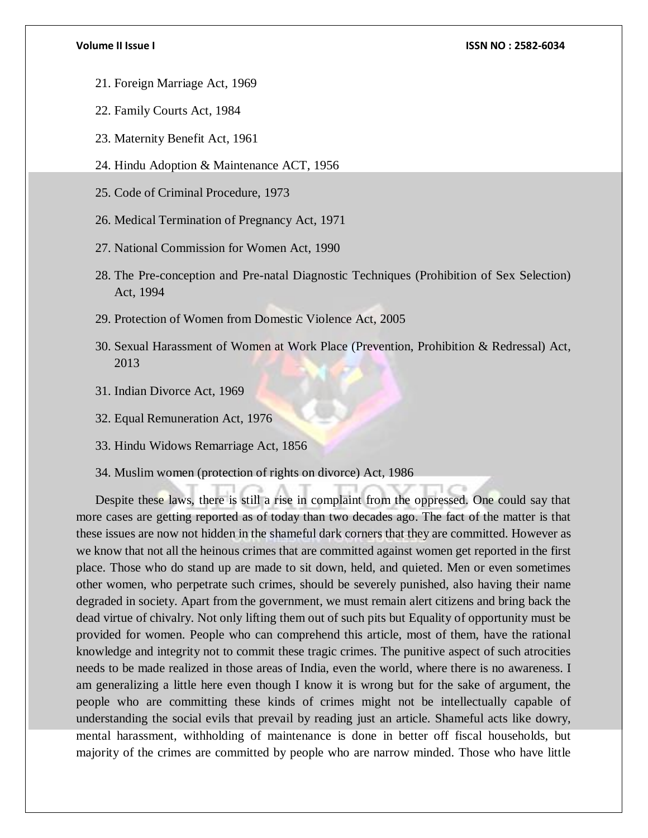- 21. Foreign Marriage Act, 1969
- 22. Family Courts Act, 1984
- 23. Maternity Benefit Act, 1961
- 24. Hindu Adoption & Maintenance ACT, 1956
- 25. Code of Criminal Procedure, 1973
- 26. Medical Termination of Pregnancy Act, 1971
- 27. National Commission for Women Act, 1990
- 28. The Pre-conception and Pre-natal Diagnostic Techniques (Prohibition of Sex Selection) Act, 1994
- 29. Protection of Women from Domestic Violence Act, 2005
- 30. Sexual Harassment of Women at Work Place (Prevention, Prohibition & Redressal) Act, 2013
- 31. Indian Divorce Act, 1969
- 32. Equal Remuneration Act, 1976
- 33. Hindu Widows Remarriage Act, 1856
- 34. Muslim women (protection of rights on divorce) Act, 1986

Despite these laws, there is still a rise in complaint from the oppressed. One could say that more cases are getting reported as of today than two decades ago. The fact of the matter is that these issues are now not hidden in the shameful dark corners that they are committed. However as we know that not all the heinous crimes that are committed against women get reported in the first place. Those who do stand up are made to sit down, held, and quieted. Men or even sometimes other women, who perpetrate such crimes, should be severely punished, also having their name degraded in society. Apart from the government, we must remain alert citizens and bring back the dead virtue of chivalry. Not only lifting them out of such pits but Equality of opportunity must be provided for women. People who can comprehend this article, most of them, have the rational knowledge and integrity not to commit these tragic crimes. The punitive aspect of such atrocities needs to be made realized in those areas of India, even the world, where there is no awareness. I am generalizing a little here even though I know it is wrong but for the sake of argument, the people who are committing these kinds of crimes might not be intellectually capable of understanding the social evils that prevail by reading just an article. Shameful acts like dowry, mental harassment, withholding of maintenance is done in better off fiscal households, but majority of the crimes are committed by people who are narrow minded. Those who have little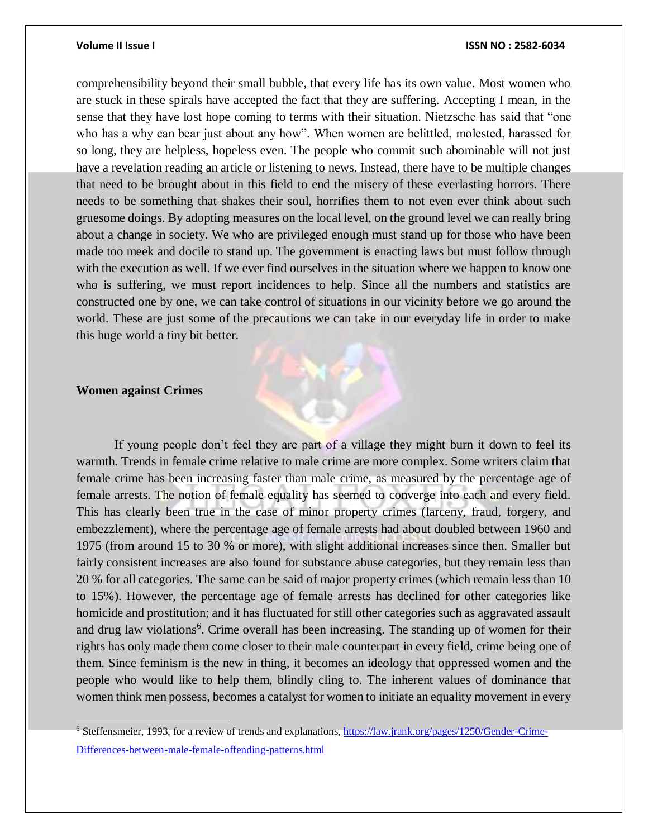comprehensibility beyond their small bubble, that every life has its own value. Most women who are stuck in these spirals have accepted the fact that they are suffering. Accepting I mean, in the sense that they have lost hope coming to terms with their situation. Nietzsche has said that "one who has a why can bear just about any how". When women are belittled, molested, harassed for so long, they are helpless, hopeless even. The people who commit such abominable will not just have a revelation reading an article or listening to news. Instead, there have to be multiple changes that need to be brought about in this field to end the misery of these everlasting horrors. There needs to be something that shakes their soul, horrifies them to not even ever think about such gruesome doings. By adopting measures on the local level, on the ground level we can really bring about a change in society. We who are privileged enough must stand up for those who have been made too meek and docile to stand up. The government is enacting laws but must follow through with the execution as well. If we ever find ourselves in the situation where we happen to know one who is suffering, we must report incidences to help. Since all the numbers and statistics are constructed one by one, we can take control of situations in our vicinity before we go around the world. These are just some of the precautions we can take in our everyday life in order to make this huge world a tiny bit better.

### **Women against Crimes**

If young people don't feel they are part of a village they might burn it down to feel its warmth. Trends in female crime relative to male crime are more complex. Some writers claim that female crime has been increasing faster than male crime, as measured by the percentage age of female arrests. The notion of female equality has seemed to converge into each and every field. This has clearly been true in the case of minor property crimes (larceny, fraud, forgery, and embezzlement), where the percentage age of female arrests had about doubled between 1960 and 1975 (from around 15 to 30 % or more), with slight additional increases since then. Smaller but fairly consistent increases are also found for substance abuse categories, but they remain less than 20 % for all categories. The same can be said of major property crimes (which remain less than 10 to 15%). However, the percentage age of female arrests has declined for other categories like homicide and prostitution; and it has fluctuated for still other categories such as aggravated assault and drug law violations<sup>6</sup>. Crime overall has been increasing. The standing up of women for their rights has only made them come closer to their male counterpart in every field, crime being one of them. Since feminism is the new in thing, it becomes an ideology that oppressed women and the people who would like to help them, blindly cling to. The inherent values of dominance that women think men possess, becomes a catalyst for women to initiate an equality movement in every

<sup>&</sup>lt;sup>6</sup> Steffensmeier, 1993, for a review of trends and explanations, [https://law.jrank.org/pages/1250/Gender-Crime-](https://law.jrank.org/pages/1250/Gender-Crime-Differences-between-male-female-offending-patterns.html)[Differences-between-male-female-offending-patterns.html](https://law.jrank.org/pages/1250/Gender-Crime-Differences-between-male-female-offending-patterns.html)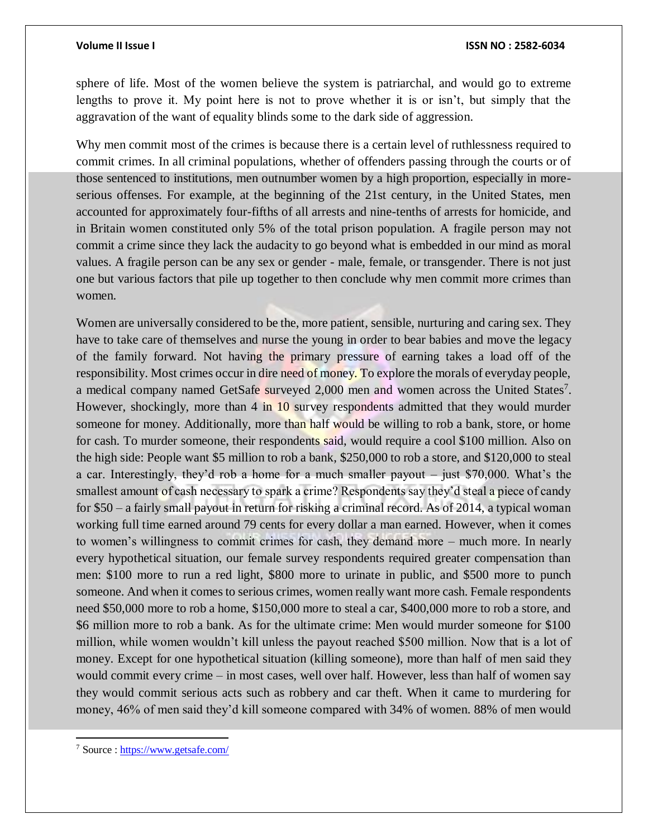sphere of life. Most of the women believe the system is patriarchal, and would go to extreme lengths to prove it. My point here is not to prove whether it is or isn't, but simply that the aggravation of the want of equality blinds some to the dark side of aggression.

Why men commit most of the crimes is because there is a certain level of ruthlessness required to commit crimes. In all criminal populations, whether of offenders passing through the courts or of those sentenced to institutions, men outnumber women by a high proportion, especially in moreserious offenses. For example, at the beginning of the 21st century, in the United States, men accounted for approximately four-fifths of all arrests and nine-tenths of arrests for homicide, and in Britain women constituted only 5% of the total prison population. A fragile person may not commit a crime since they lack the audacity to go beyond what is embedded in our mind as moral values. A fragile person can be any sex or gender - male, female, or transgender. There is not just one but various factors that pile up together to then conclude why men commit more crimes than women.

Women are universally considered to be the, more patient, sensible, nurturing and caring sex. They have to take care of themselves and nurse the young in order to bear babies and move the legacy of the family forward. Not having the primary pressure of earning takes a load off of the responsibility. Most crimes occur in dire need of money. To explore the morals of everyday people, a medical company named GetSafe surveyed 2,000 men and women across the United States<sup>7</sup>. However, shockingly, more than 4 in 10 survey respondents admitted that they would murder someone for money. Additionally, more than half would be willing to rob a bank, store, or home for cash. To murder someone, their respondents said, would require a cool \$100 million. Also on the high side: People want \$5 million to rob a bank, \$250,000 to rob a store, and \$120,000 to steal a car. Interestingly, they'd rob a home for a much smaller payout – just \$70,000. What's the smallest amount of cash necessary to spark a crime? Respondents say they'd steal a piece of candy for \$50 – a fairly small payout in return for risking a criminal record. As of 2014, a typical woman working full time earned around 79 cents for every dollar a man earned. However, when it comes to women's willingness to commit crimes for cash, they demand more – much more. In nearly every hypothetical situation, our female survey respondents required greater compensation than men: \$100 more to run a red light, \$800 more to urinate in public, and \$500 more to punch someone. And when it comes to serious crimes, women really want more cash. Female respondents need \$50,000 more to rob a home, \$150,000 more to steal a car, \$400,000 more to rob a store, and \$6 million more to rob a bank. As for the ultimate crime: Men would murder someone for \$100 million, while women wouldn't kill unless the payout reached \$500 million. Now that is a lot of money. Except for one hypothetical situation (killing someone), more than half of men said they would commit every crime – in most cases, well over half. However, less than half of women say they would commit serious acts such as robbery and car theft. When it came to murdering for money, 46% of men said they'd kill someone compared with 34% of women. 88% of men would

<sup>7</sup> Source [: https://www.getsafe.com/](https://www.getsafe.com/)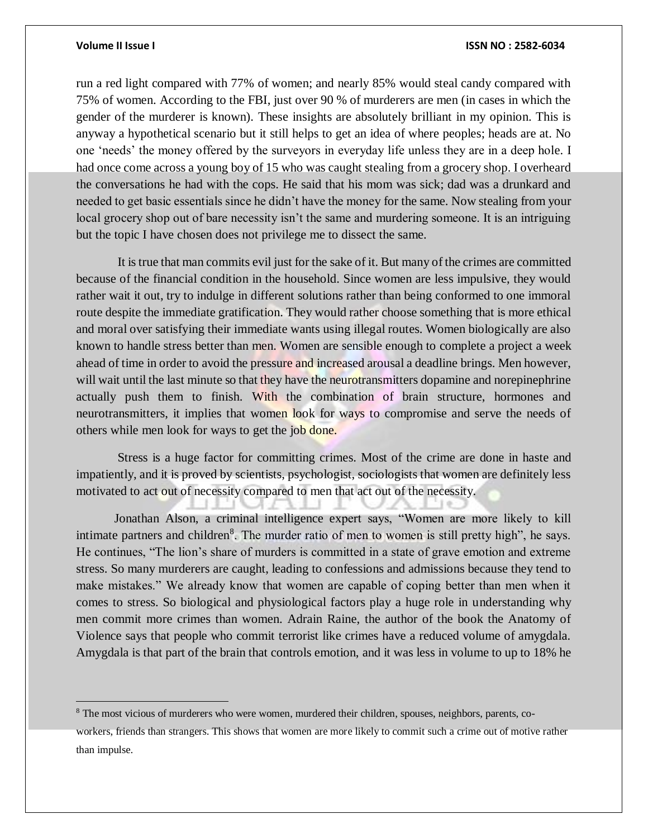$\overline{a}$ 

### **Volume II Issue I ISSN NO : 2582-6034**

run a red light compared with 77% of women; and nearly 85% would steal candy compared with 75% of women. According to the FBI, just over 90 % of murderers are men (in cases in which the gender of the murderer is known). These insights are absolutely brilliant in my opinion. This is anyway a hypothetical scenario but it still helps to get an idea of where peoples; heads are at. No one 'needs' the money offered by the surveyors in everyday life unless they are in a deep hole. I had once come across a young boy of 15 who was caught stealing from a grocery shop. I overheard the conversations he had with the cops. He said that his mom was sick; dad was a drunkard and needed to get basic essentials since he didn't have the money for the same. Now stealing from your local grocery shop out of bare necessity isn't the same and murdering someone. It is an intriguing but the topic I have chosen does not privilege me to dissect the same.

It is true that man commits evil just for the sake of it. But many of the crimes are committed because of the financial condition in the household. Since women are less impulsive, they would rather wait it out, try to indulge in different solutions rather than being conformed to one immoral route despite the immediate gratification. They would rather choose something that is more ethical and moral over satisfying their immediate wants using illegal routes. Women biologically are also known to handle stress better than men. Women are sensible enough to complete a project a week ahead of time in order to avoid the pressure and increased arousal a deadline brings. Men however, will wait until the last minute so that they have the neurotransmitters dopamine and norepinephrine actually push them to finish. With the combination of brain structure, hormones and neurotransmitters, it implies that women look for ways to compromise and serve the needs of others while men look for ways to get the job done.

Stress is a huge factor for committing crimes. Most of the crime are done in haste and impatiently, and it is proved by scientists, psychologist, sociologists that women are definitely less motivated to act out of necessity compared to men that act out of the necessity.

Jonathan Alson, a criminal intelligence expert says, "Women are more likely to kill intimate partners and children<sup>8</sup>. The murder ratio of men to women is still pretty high", he says. He continues, "The lion's share of murders is committed in a state of grave emotion and extreme stress. So many murderers are caught, leading to confessions and admissions because they tend to make mistakes." We already know that women are capable of coping better than men when it comes to stress. So biological and physiological factors play a huge role in understanding why men commit more crimes than women. Adrain Raine, the author of the book the Anatomy of Violence says that people who commit terrorist like crimes have a reduced volume of amygdala. Amygdala is that part of the brain that controls emotion, and it was less in volume to up to 18% he

<sup>&</sup>lt;sup>8</sup> The most vicious of murderers who were women, murdered their children, spouses, neighbors, parents, co-

workers, friends than strangers. This shows that women are more likely to commit such a crime out of motive rather than impulse.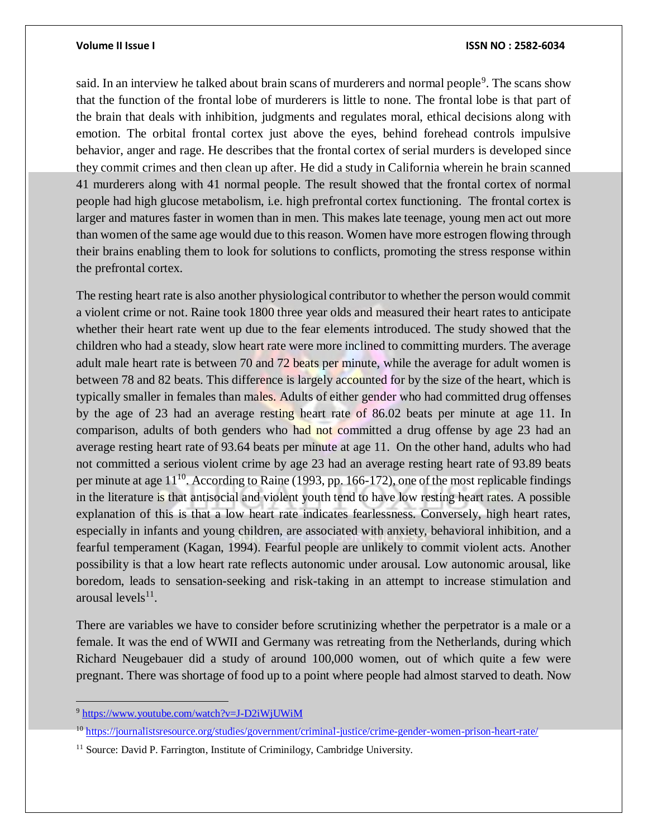said. In an interview he talked about brain scans of murderers and normal people<sup>9</sup>. The scans show that the function of the frontal lobe of murderers is little to none. The frontal lobe is that part of the brain that deals with inhibition, judgments and regulates moral, ethical decisions along with emotion. The orbital frontal cortex just above the eyes, behind forehead controls impulsive behavior, anger and rage. He describes that the frontal cortex of serial murders is developed since they commit crimes and then clean up after. He did a study in California wherein he brain scanned 41 murderers along with 41 normal people. The result showed that the frontal cortex of normal people had high glucose metabolism, i.e. high prefrontal cortex functioning. The frontal cortex is larger and matures faster in women than in men. This makes late teenage, young men act out more than women of the same age would due to this reason. Women have more estrogen flowing through their brains enabling them to look for solutions to conflicts, promoting the stress response within the prefrontal cortex.

The resting heart rate is also another physiological contributor to whether the person would commit a violent crime or not. Raine took 1800 three year olds and measured their heart rates to anticipate whether their heart rate went up due to the fear elements introduced. The study showed that the children who had a steady, slow heart rate were more inclined to committing murders. The average adult male heart rate is between 70 and 72 beats per minute, while the average for adult women is between 78 and 82 beats. This difference is largely accounted for by the size of the heart, which is typically smaller in females than males. Adults of either gender who had committed drug offenses by the age of 23 had an average resting heart rate of 86.02 beats per minute at age 11. In comparison, adults of both genders who had not committed a drug offense by age 23 had an average resting heart rate of 93.64 beats per minute at age 11. On the other hand, adults who had not committed a serious violent crime by age 23 had an average resting heart rate of 93.89 beats per minute at age  $11^{10}$ . According to Raine (1993, pp. 166-172), one of the most replicable findings in the literature is that antisocial and violent youth tend to have low resting heart rates. A possible explanation of this is that a low heart rate indicates fearlessness. Conversely, high heart rates, especially in infants and young children, are associated with anxiety, behavioral inhibition, and a fearful temperament (Kagan, 1994). Fearful people are unlikely to commit violent acts. Another possibility is that a low heart rate reflects autonomic under arousal. Low autonomic arousal, like boredom, leads to sensation-seeking and risk-taking in an attempt to increase stimulation and arousal  $levels<sup>11</sup>$ .

There are variables we have to consider before scrutinizing whether the perpetrator is a male or a female. It was the end of WWII and Germany was retreating from the Netherlands, during which Richard Neugebauer did a study of around 100,000 women, out of which quite a few were pregnant. There was shortage of food up to a point where people had almost starved to death. Now

<sup>&</sup>lt;sup>9</sup> <https://www.youtube.com/watch?v=J-D2iWjUWiM>

<sup>&</sup>lt;sup>10</sup> <https://journalistsresource.org/studies/government/criminal-justice/crime-gender-women-prison-heart-rate/>

<sup>&</sup>lt;sup>11</sup> Source: David P. Farrington, Institute of Criminilogy, Cambridge University.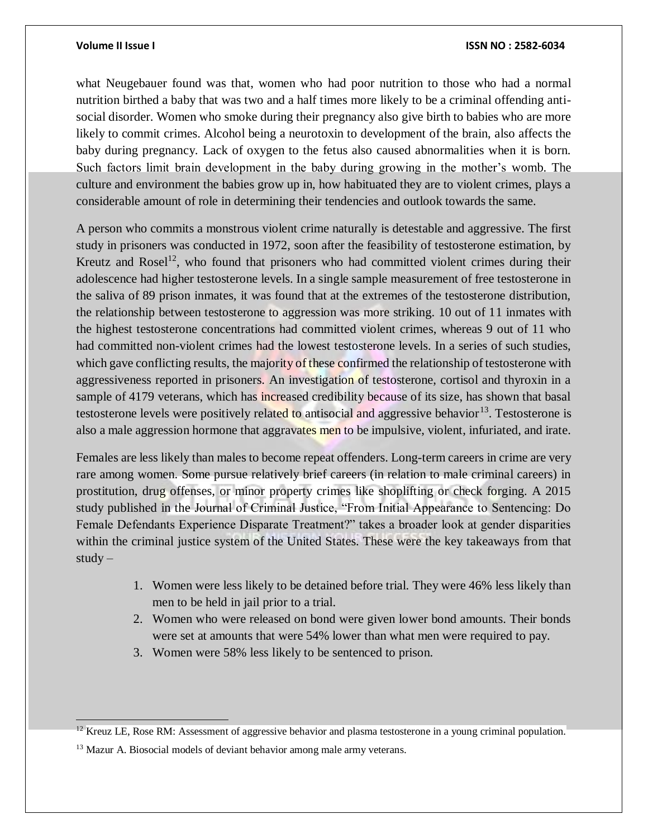what Neugebauer found was that, women who had poor nutrition to those who had a normal nutrition birthed a baby that was two and a half times more likely to be a criminal offending antisocial disorder. Women who smoke during their pregnancy also give birth to babies who are more likely to commit crimes. Alcohol being a neurotoxin to development of the brain, also affects the baby during pregnancy. Lack of oxygen to the fetus also caused abnormalities when it is born. Such factors limit brain development in the baby during growing in the mother's womb. The culture and environment the babies grow up in, how habituated they are to violent crimes, plays a considerable amount of role in determining their tendencies and outlook towards the same.

A person who commits a monstrous violent crime naturally is detestable and aggressive. The first study in prisoners was conducted in 1972, soon after the feasibility of testosterone estimation, by Kreutz and Rosel<sup>12</sup>, who found that prisoners who had committed violent crimes during their adolescence had higher testosterone levels. In a single sample measurement of free testosterone in the saliva of 89 prison inmates, it was found that at the extremes of the testosterone distribution, the relationship between testosterone to aggression was more striking. 10 out of 11 inmates with the highest testosterone concentrations had committed violent crimes, whereas 9 out of 11 who had committed non-violent crimes had the lowest testosterone levels. In a series of such studies, which gave conflicting results, the majority of these confirmed the relationship of testosterone with aggressiveness reported in prisoners. An investigation of testosterone, cortisol and thyroxin in a sample of 4179 veterans, which has increased credibility because of its size, has shown that basal testosterone levels were positively related to antisocial and aggressive behavior<sup>13</sup>. Testosterone is also a male aggression hormone that aggravates men to be impulsive, violent, infuriated, and irate.

Females are less likely than males to become repeat offenders. Long-term careers in crime are very rare among women. Some pursue relatively brief careers (in relation to male criminal careers) in prostitution, drug offenses, or minor property crimes like shoplifting or check forging. A 2015 study published in the Journal of Criminal Justice, "From Initial Appearance to Sentencing: Do Female Defendants Experience Disparate Treatment?" takes a broader look at gender disparities within the criminal justice system of the United States. These were the key takeaways from that  $study -$ 

- 1. Women were less likely to be detained before trial. They were 46% less likely than men to be held in jail prior to a trial.
- 2. Women who were released on bond were given lower bond amounts. Their bonds were set at amounts that were 54% lower than what men were required to pay.
- 3. Women were 58% less likely to be sentenced to prison.

 $12$  Kreuz LE, Rose RM: Assessment of aggressive behavior and plasma testosterone in a young criminal population.

<sup>&</sup>lt;sup>13</sup> Mazur A. Biosocial models of deviant behavior among male army veterans.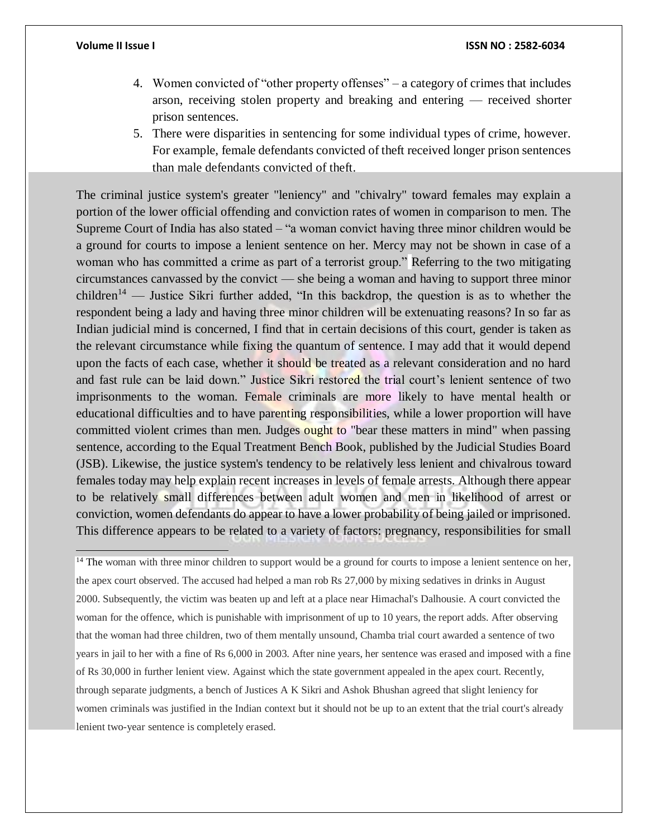$\overline{a}$ 

- 4. Women convicted of "other property offenses" a category of crimes that includes arson, receiving stolen property and breaking and entering — received shorter prison sentences.
- 5. There were disparities in sentencing for some individual types of crime, however. For example, female defendants convicted of theft received longer prison sentences than male defendants convicted of theft.

The criminal justice system's greater "leniency" and "chivalry" toward females may explain a portion of the lower official offending and conviction rates of women in comparison to men. The Supreme Court of India has also stated – "a woman convict having three minor children would be a ground for courts to impose a lenient sentence on her. Mercy may not be shown in case of a woman who has committed a crime as part of a terrorist group." Referring to the two mitigating circumstances canvassed by the convict — she being a woman and having to support three minor children<sup>14</sup> — Justice Sikri further added, "In this backdrop, the question is as to whether the respondent being a lady and having three minor children will be extenuating reasons? In so far as Indian judicial mind is concerned, I find that in certain decisions of this court, gender is taken as the relevant circumstance while fixing the quantum of sentence. I may add that it would depend upon the facts of each case, whether it should be treated as a relevant consideration and no hard and fast rule can be laid down." Justice Sikri restored the trial court's lenient sentence of two imprisonments to the woman. Female criminals are more likely to have mental health or educational difficulties and to have parenting responsibilities, while a lower proportion will have committed violent crimes than men. Judges ought to "bear these matters in mind" when passing sentence, according to the Equal Treatment Bench Book, published by the Judicial Studies Board (JSB). Likewise, the justice system's tendency to be relatively less lenient and chivalrous toward females today may help explain recent increases in levels of female arrests. Although there appear to be relatively small differences between adult women and men in likelihood of arrest or conviction, women defendants do appear to have a lower probability of being jailed or imprisoned. This difference appears to be related to a variety of factors: pregnancy, responsibilities for small

<sup>14</sup> The woman with three minor children to support would be a ground for courts to impose a lenient sentence on her, the apex court observed. The accused had helped a man rob Rs 27,000 by mixing sedatives in drinks in August 2000. Subsequently, the victim was beaten up and left at a place near Himachal's Dalhousie. A court convicted the woman for the offence, which is punishable with imprisonment of up to 10 years, the report adds. After observing that the woman had three children, two of them mentally unsound, Chamba trial court awarded a sentence of two years in jail to her with a fine of Rs 6,000 in 2003. After nine years, her sentence was erased and imposed with a fine of Rs 30,000 in further lenient view. Against which the state government appealed in the apex court. Recently, through separate judgments, a bench of Justices A K Sikri and Ashok Bhushan agreed that slight leniency for women criminals was justified in the Indian context but it should not be up to an extent that the trial court's already lenient two-year sentence is completely erased.